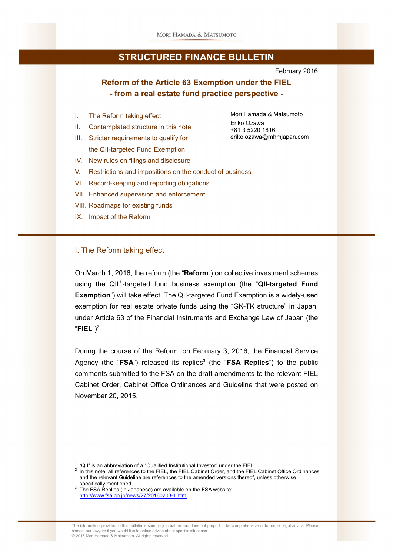

February 2016

Mori Hamada & Matsumoto

eriko.ozawa@mhmjapan.com

Eriko Ozawa +81 3 5220 1816

## **Reform of the Article 63 Exemption under the FIEL - from a real estate fund practice perspective -**

- I. The Reform taking effect
- II. Contemplated structure in this note
- III. Stricter requirements to qualify for the QII-targeted Fund Exemption
- IV. New rules on filings and disclosure
- V. Restrictions and impositions on the conduct of business
- VI. Record-keeping and reporting obligations
- VII. Enhanced supervision and enforcement
- VIII. Roadmaps for existing funds
- IX. Impact of the Reform

#### I. The Reform taking effect

Ļ

On March 1, 2016, the reform (the "**Reform**") on collective investment schemes using the QII<sup>1</sup>-targeted fund business exemption (the "QII-targeted Fund **Exemption**") will take effect. The QII-targeted Fund Exemption is a widely-used exemption for real estate private funds using the "GK-TK structure" in Japan, under Article 63 of the Financial Instruments and Exchange Law of Japan (the " $FIEL"$ <sup>2</sup>.

During the course of the Reform, on February 3, 2016, the Financial Service Agency (the "FSA") released its replies<sup>3</sup> (the "FSA Replies") to the public comments submitted to the FSA on the draft amendments to the relevant FIEL Cabinet Order, Cabinet Office Ordinances and Guideline that were posted on November 20, 2015.

1 "QII" is an abbreviation of a "Qualified Institutional Investor" under the FIEL.

 $2$  In this note, all references to the FIEL, the FIEL Cabinet Order, and the FIEL Cabinet Office Ordinances and the relevant Guideline are references to the amended versions thereof, unless otherwise specifically mentioned.

 $3$  The FSA Replies (in Japanese) are available on the FSA website: http://www.fsa.go.jp/news/27/20160203-1.html.

The information provided in this bulletin is summary in nature and does not purport to be comprehensive or to render legal advice. Please contact our lawyers if you would like to obtain advice about specific situations. © 2016 Mori Hamada & Matsumoto. All rights reserved.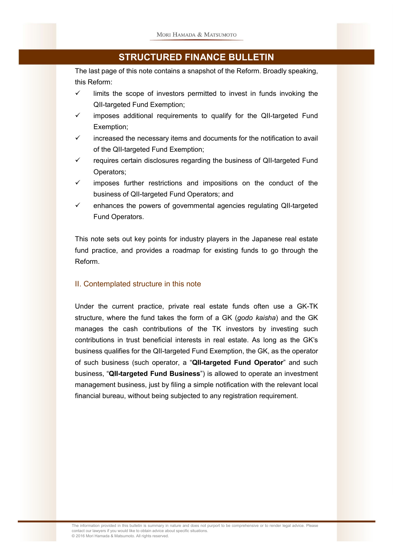The last page of this note contains a snapshot of the Reform. Broadly speaking, this Reform:

- $\checkmark$  limits the scope of investors permitted to invest in funds invoking the QII-targeted Fund Exemption;
- $\checkmark$  imposes additional requirements to qualify for the QII-targeted Fund Exemption;
- $\checkmark$  increased the necessary items and documents for the notification to avail of the QII-targeted Fund Exemption;
- $\checkmark$  requires certain disclosures regarding the business of QII-targeted Fund Operators;
- $\checkmark$  imposes further restrictions and impositions on the conduct of the business of QII-targeted Fund Operators; and
- $\checkmark$  enhances the powers of governmental agencies regulating QII-targeted Fund Operators.

This note sets out key points for industry players in the Japanese real estate fund practice, and provides a roadmap for existing funds to go through the Reform.

#### II. Contemplated structure in this note

Under the current practice, private real estate funds often use a GK-TK structure, where the fund takes the form of a GK (*godo kaisha*) and the GK manages the cash contributions of the TK investors by investing such contributions in trust beneficial interests in real estate. As long as the GK's business qualifies for the QII-targeted Fund Exemption, the GK, as the operator of such business (such operator, a "**QII-targeted Fund Operator**" and such business, "**QII-targeted Fund Business**") is allowed to operate an investment management business, just by filing a simple notification with the relevant local financial bureau, without being subjected to any registration requirement.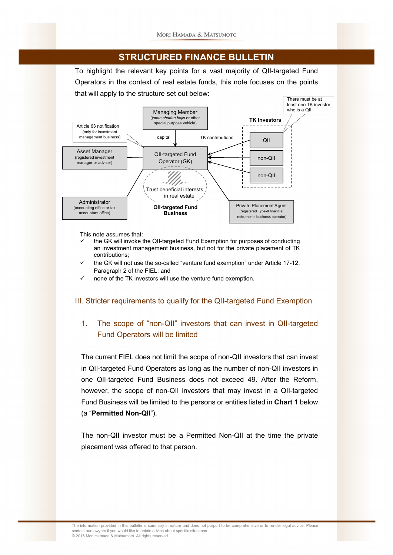To highlight the relevant key points for a vast majority of QII-targeted Fund Operators in the context of real estate funds, this note focuses on the points that will apply to the structure set out below:



This note assumes that:

- the GK will invoke the QII-targeted Fund Exemption for purposes of conducting an investment management business, but not for the private placement of TK contributions;
- the GK will not use the so-called "venture fund exemption" under Article 17-12, Paragraph 2 of the FIEL; and
- none of the TK investors will use the venture fund exemption.

### III. Stricter requirements to qualify for the QII-targeted Fund Exemption

## 1. The scope of "non-QII" investors that can invest in QII-targeted Fund Operators will be limited

The current FIEL does not limit the scope of non-QII investors that can invest in QII-targeted Fund Operators as long as the number of non-QII investors in one QII-targeted Fund Business does not exceed 49. After the Reform, however, the scope of non-QII investors that may invest in a QII-targeted Fund Business will be limited to the persons or entities listed in **Chart 1** below (a "**Permitted Non-QII**").

The non-QII investor must be a Permitted Non-QII at the time the private placement was offered to that person.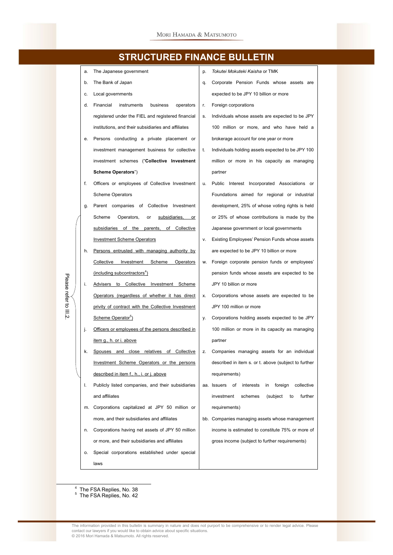

4 The FSA Replies, No. 38

F

Please

refer to i<br>2

5 The FSA Replies, No. 42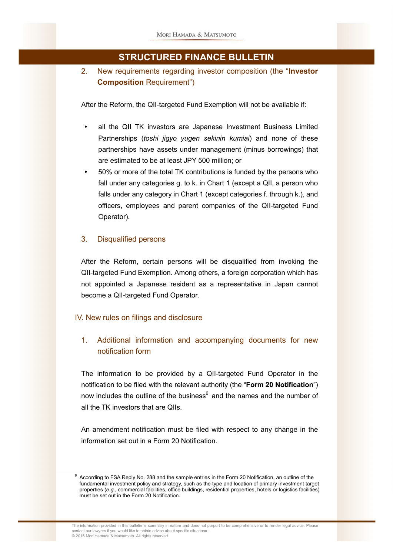2. New requirements regarding investor composition (the "**Investor Composition** Requirement")

After the Reform, the QII-targeted Fund Exemption will not be available if:

- all the QII TK investors are Japanese Investment Business Limited Partnerships (*toshi jigyo yugen sekinin kumiai*) and none of these partnerships have assets under management (minus borrowings) that are estimated to be at least JPY 500 million; or
- 50% or more of the total TK contributions is funded by the persons who fall under any categories g. to k. in Chart 1 (except a QII, a person who falls under any category in Chart 1 (except categories f. through k.), and officers, employees and parent companies of the QII-targeted Fund Operator).

#### 3. Disqualified persons

After the Reform, certain persons will be disqualified from invoking the QII-targeted Fund Exemption. Among others, a foreign corporation which has not appointed a Japanese resident as a representative in Japan cannot become a QII-targeted Fund Operator.

#### IV. New rules on filings and disclosure

L

1. Additional information and accompanying documents for new notification form

The information to be provided by a QII-targeted Fund Operator in the notification to be filed with the relevant authority (the "**Form 20 Notification**") now includes the outline of the business<sup>6</sup> and the names and the number of all the TK investors that are QIIs.

An amendment notification must be filed with respect to any change in the information set out in a Form 20 Notification.

<sup>6</sup> According to FSA Reply No. 288 and the sample entries in the Form 20 Notification, an outline of the fundamental investment policy and strategy, such as the type and location of primary investment target properties (*e.g.*, commercial facilities, office buildings, residential properties, hotels or logistics facilities) must be set out in the Form 20 Notification.

The information provided in this bulletin is summary in nature and does not purport to be comprehensive or to render legal advice. Please contact our lawyers if you would like to obtain advice about specific situations. © 2016 Mori Hamada & Matsumoto. All rights reserved.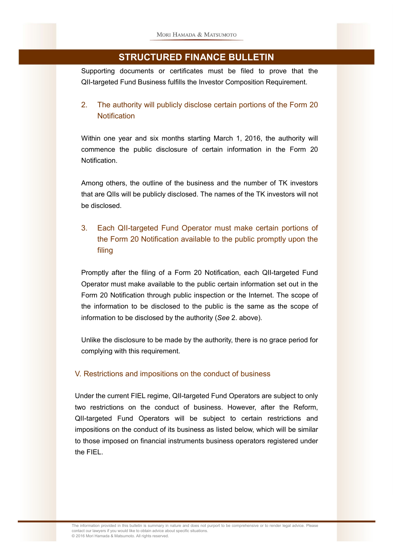Supporting documents or certificates must be filed to prove that the QII-targeted Fund Business fulfills the Investor Composition Requirement.

## 2. The authority will publicly disclose certain portions of the Form 20 **Notification**

Within one year and six months starting March 1, 2016, the authority will commence the public disclosure of certain information in the Form 20 Notification.

Among others, the outline of the business and the number of TK investors that are QIIs will be publicly disclosed. The names of the TK investors will not be disclosed.

## 3. Each QII-targeted Fund Operator must make certain portions of the Form 20 Notification available to the public promptly upon the filing

Promptly after the filing of a Form 20 Notification, each QII-targeted Fund Operator must make available to the public certain information set out in the Form 20 Notification through public inspection or the Internet. The scope of the information to be disclosed to the public is the same as the scope of information to be disclosed by the authority (*See* 2. above).

Unlike the disclosure to be made by the authority, there is no grace period for complying with this requirement.

### V. Restrictions and impositions on the conduct of business

Under the current FIEL regime, QII-targeted Fund Operators are subject to only two restrictions on the conduct of business. However, after the Reform, QII-targeted Fund Operators will be subject to certain restrictions and impositions on the conduct of its business as listed below, which will be similar to those imposed on financial instruments business operators registered under the FIEL.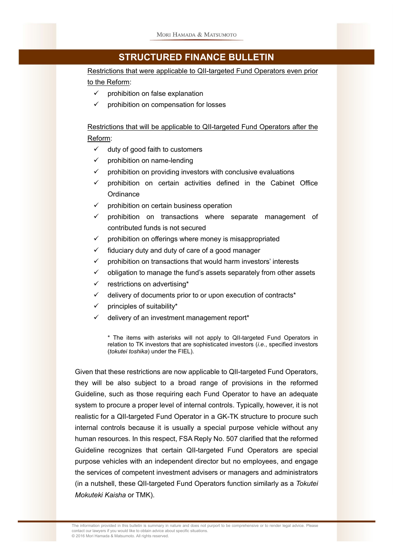Restrictions that were applicable to QII-targeted Fund Operators even prior to the Reform:

- $\checkmark$  prohibition on false explanation
- $\checkmark$  prohibition on compensation for losses

Restrictions that will be applicable to QII-targeted Fund Operators after the Reform:

- $\checkmark$  duty of good faith to customers
- $\checkmark$  prohibition on name-lending
- prohibition on providing investors with conclusive evaluations
- prohibition on certain activities defined in the Cabinet Office **Ordinance**
- prohibition on certain business operation
- prohibition on transactions where separate management of contributed funds is not secured
- $\checkmark$  prohibition on offerings where money is misappropriated
- $\checkmark$  fiduciary duty and duty of care of a good manager
- $\checkmark$  prohibition on transactions that would harm investors' interests
- $\checkmark$  obligation to manage the fund's assets separately from other assets
- $\checkmark$  restrictions on advertising\*
- $\checkmark$  delivery of documents prior to or upon execution of contracts\*
- $\checkmark$  principles of suitability\*
- delivery of an investment management report\*

\* The items with asterisks will not apply to QII-targeted Fund Operators in relation to TK investors that are sophisticated investors (*i.e.*, specified investors (*tokutei toshika*) under the FIEL).

Given that these restrictions are now applicable to QII-targeted Fund Operators, they will be also subject to a broad range of provisions in the reformed Guideline, such as those requiring each Fund Operator to have an adequate system to procure a proper level of internal controls. Typically, however, it is not realistic for a QII-targeted Fund Operator in a GK-TK structure to procure such internal controls because it is usually a special purpose vehicle without any human resources. In this respect, FSA Reply No. 507 clarified that the reformed Guideline recognizes that certain QII-targeted Fund Operators are special purpose vehicles with an independent director but no employees, and engage the services of competent investment advisers or managers and administrators (in a nutshell, these QII-targeted Fund Operators function similarly as a *Tokutei Mokuteki Kaisha* or TMK).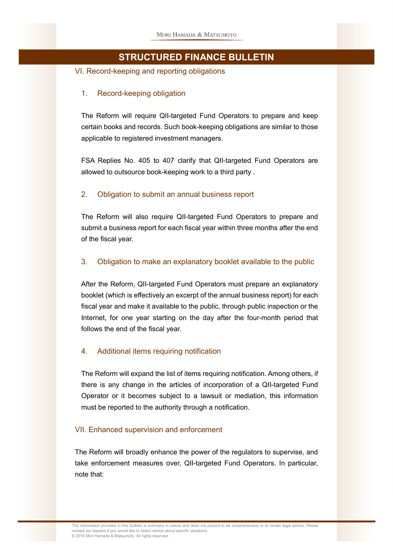VI. Record-keeping and reporting obligations

### 1. Record-keeping obligation

The Reform will require QII-targeted Fund Operators to prepare and keep certain books and records. Such book-keeping obligations are similar to those applicable to registered investment managers.

FSA Replies No. 405 to 407 clarify that QII-targeted Fund Operators are allowed to outsource book-keeping work to a third party .

### 2. Obligation to submit an annual business report

The Reform will also require QII-targeted Fund Operators to prepare and submit a business report for each fiscal year within three months after the end of the fiscal year.

#### 3. Obligation to make an explanatory booklet available to the public

After the Reform, QII-targeted Fund Operators must prepare an explanatory booklet (which is effectively an excerpt of the annual business report) for each fiscal year and make it available to the public, through public inspection or the Internet, for one year starting on the day after the four-month period that follows the end of the fiscal year.

### 4. Additional items requiring notification

The Reform will expand the list of items requiring notification. Among others, if there is any change in the articles of incorporation of a QII-targeted Fund Operator or it becomes subject to a lawsuit or mediation, this information must be reported to the authority through a notification.

#### VII. Enhanced supervision and enforcement

The Reform will broadly enhance the power of the regulators to supervise, and take enforcement measures over, QII-targeted Fund Operators. In particular, note that: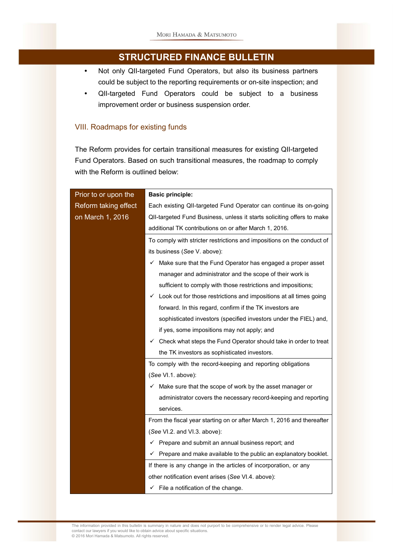- Not only QII-targeted Fund Operators, but also its business partners could be subject to the reporting requirements or on-site inspection; and
- QII-targeted Fund Operators could be subject to a business improvement order or business suspension order.

#### VIII. Roadmaps for existing funds

The Reform provides for certain transitional measures for existing QII-targeted Fund Operators. Based on such transitional measures, the roadmap to comply with the Reform is outlined below:

| Prior to or upon the | <b>Basic principle:</b>                                                       |
|----------------------|-------------------------------------------------------------------------------|
| Reform taking effect | Each existing QII-targeted Fund Operator can continue its on-going            |
| on March 1, 2016     | QII-targeted Fund Business, unless it starts soliciting offers to make        |
|                      | additional TK contributions on or after March 1, 2016.                        |
|                      | To comply with stricter restrictions and impositions on the conduct of        |
|                      | its business (See V. above):                                                  |
|                      | Make sure that the Fund Operator has engaged a proper asset<br>✓              |
|                      | manager and administrator and the scope of their work is                      |
|                      | sufficient to comply with those restrictions and impositions;                 |
|                      | Look out for those restrictions and impositions at all times going<br>✓       |
|                      | forward. In this regard, confirm if the TK investors are                      |
|                      | sophisticated investors (specified investors under the FIEL) and,             |
|                      | if yes, some impositions may not apply; and                                   |
|                      | $\checkmark$ Check what steps the Fund Operator should take in order to treat |
|                      | the TK investors as sophisticated investors.                                  |
|                      | To comply with the record-keeping and reporting obligations                   |
|                      | (See VI.1. above):                                                            |
|                      | $\checkmark$ Make sure that the scope of work by the asset manager or         |
|                      | administrator covers the necessary record-keeping and reporting               |
|                      | services.                                                                     |
|                      | From the fiscal year starting on or after March 1, 2016 and thereafter        |
|                      | (See VI.2. and VI.3. above):                                                  |
|                      | $\checkmark$ Prepare and submit an annual business report; and                |
|                      | Prepare and make available to the public an explanatory booklet.              |
|                      | If there is any change in the articles of incorporation, or any               |
|                      | other notification event arises (See VI.4. above):                            |
|                      | $\checkmark$ File a notification of the change.                               |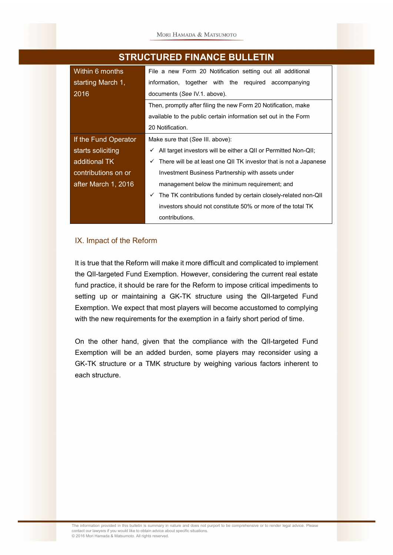| Within 6 months      | File a new Form 20 Notification setting out all additional             |
|----------------------|------------------------------------------------------------------------|
| starting March 1,    | information, together with the required accompanying                   |
| 2016                 | documents (See IV.1. above).                                           |
|                      | Then, promptly after filing the new Form 20 Notification, make         |
|                      | available to the public certain information set out in the Form        |
|                      | 20 Notification.                                                       |
| If the Fund Operator | Make sure that (See III. above):                                       |
| starts soliciting    | All target investors will be either a QII or Permitted Non-QII;        |
| additional TK        | There will be at least one QII TK investor that is not a Japanese<br>✓ |
| contributions on or  | Investment Business Partnership with assets under                      |
| after March 1, 2016  | management below the minimum requirement; and                          |
|                      | The TK contributions funded by certain closely-related non-QII<br>✓    |
|                      | investors should not constitute 50% or more of the total TK            |
|                      | contributions.                                                         |

#### IX. Impact of the Reform

It is true that the Reform will make it more difficult and complicated to implement the QII-targeted Fund Exemption. However, considering the current real estate fund practice, it should be rare for the Reform to impose critical impediments to setting up or maintaining a GK-TK structure using the QII-targeted Fund Exemption. We expect that most players will become accustomed to complying with the new requirements for the exemption in a fairly short period of time.

On the other hand, given that the compliance with the QII-targeted Fund Exemption will be an added burden, some players may reconsider using a GK-TK structure or a TMK structure by weighing various factors inherent to each structure.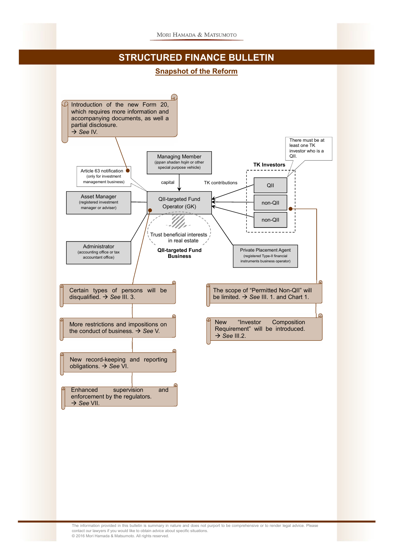#### **Snapshot of the Reform**

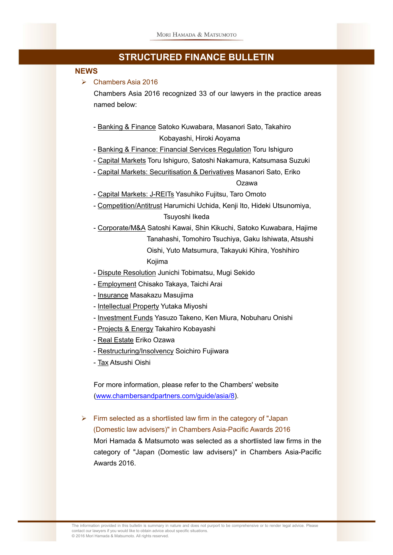#### **NEWS**

 $\triangleright$  Chambers Asia 2016

Chambers Asia 2016 recognized 33 of our lawyers in the practice areas named below:

- Banking & Finance Satoko Kuwabara, Masanori Sato, Takahiro Kobayashi, Hiroki Aoyama
- Banking & Finance: Financial Services Regulation Toru Ishiguro
- Capital Markets Toru Ishiguro, Satoshi Nakamura, Katsumasa Suzuki
- Capital Markets: Securitisation & Derivatives Masanori Sato, Eriko

## Ozawa

- Capital Markets: J-REITs Yasuhiko Fujitsu, Taro Omoto
- Competition/Antitrust Harumichi Uchida, Kenji Ito, Hideki Utsunomiya, Tsuyoshi Ikeda
- Corporate/M&A Satoshi Kawai, Shin Kikuchi, Satoko Kuwabara, Hajime Tanahashi, Tomohiro Tsuchiya, Gaku Ishiwata, Atsushi Oishi, Yuto Matsumura, Takayuki Kihira, Yoshihiro Kojima
- Dispute Resolution Junichi Tobimatsu, Mugi Sekido
- Employment Chisako Takaya, Taichi Arai
- Insurance Masakazu Masujima
- Intellectual Property Yutaka Miyoshi
- Investment Funds Yasuzo Takeno, Ken Miura, Nobuharu Onishi
- Projects & Energy Takahiro Kobayashi
- Real Estate Eriko Ozawa
- Restructuring/Insolvency Soichiro Fujiwara
- Tax Atsushi Oishi

For more information, please refer to the Chambers' website (www.chambersandpartners.com/guide/asia/8).

 $\triangleright$  Firm selected as a shortlisted law firm in the category of "Japan" (Domestic law advisers)" in Chambers Asia-Pacific Awards 2016 Mori Hamada & Matsumoto was selected as a shortlisted law firms in the category of "Japan (Domestic law advisers)" in Chambers Asia-Pacific Awards 2016.